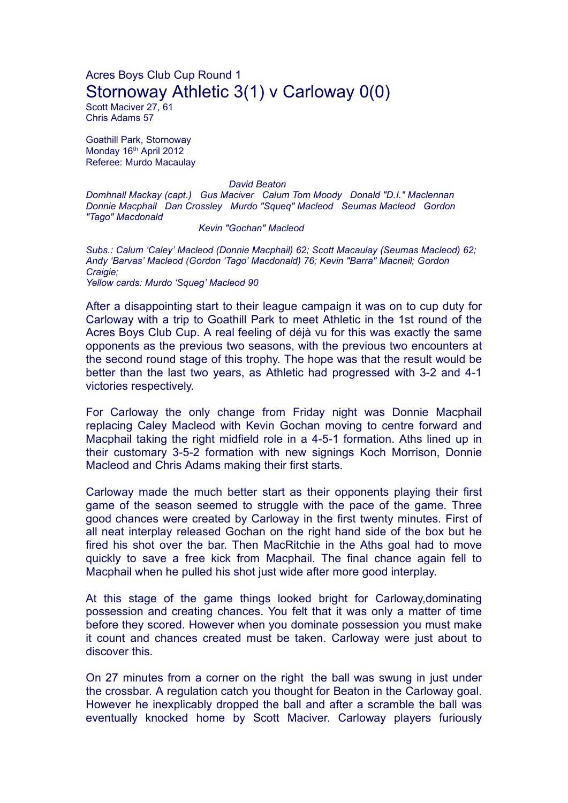## Acres Boys Club Cup Round 1 Stornoway Athletic 3(1) v Carloway 0(0)

Scott Maciver 27, 61 Chris Adams 57

Goathill Park, Stornoway Monday 16<sup>th</sup> April 2012 Referee: Murdo Macaulay

victories respectively.

## *David Beaton*

*Domhnall Mackay (capt.) Gus Maciver Calum Tom Moody Donald "D.I." Maclennan Donnie Macphail Dan Crossley Murdo "Squeq" Macleod Seumas Macleod Gordon "Tago" Macdonald*

*Kevin "Gochan" Macleod*

*Subs.: Calum 'Caley' Macleod (Donnie Macphail) 62; Scott Macaulay (Seumas Macleod) 62; Andy 'Barvas' Macleod (Gordon 'Tago' Macdonald) 76; Kevin "Barra" Macneil; Gordon Craigie; Yellow cards: Murdo 'Squeg' Macleod 90*

After a disappointing start to their league campaign it was on to cup duty for Carloway with a trip to Goathill Park to meet Athletic in the 1st round of the Acres Boys Club Cup. A real feeling of déjà vu for this was exactly the same opponents as the previous two seasons, with the previous two encounters at the second round stage of this trophy. The hope was that the result would be better than the last two years, as Athletic had progressed with 3-2 and 4-1

For Carloway the only change from Friday night was Donnie Macphail replacing Caley Macleod with Kevin Gochan moving to centre forward and Macphail taking the right midfield role in a 4-5-1 formation. Aths lined up in their customary 3-5-2 formation with new signings Koch Morrison, Donnie Macleod and Chris Adams making their first starts.

Carloway made the much better start as their opponents playing their first game of the season seemed to struggle with the pace of the game. Three good chances were created by Carloway in the first twenty minutes. First of all neat interplay released Gochan on the right hand side of the box but he fired his shot over the bar. Then MacRitchie in the Aths goal had to move quickly to save a free kick from Macphail. The final chance again fell to Macphail when he pulled his shot just wide after more good interplay.

At this stage of the game things looked bright for Carloway,dominating possession and creating chances. You felt that it was only a matter of time before they scored. However when you dominate possession you must make it count and chances created must be taken. Carloway were just about to discover this.

On 27 minutes from a corner on the right the ball was swung in just under the crossbar. A regulation catch you thought for Beaton in the Carloway goal. However he inexplicably dropped the ball and after a scramble the ball was eventually knocked home by Scott Maciver. Carloway players furiously